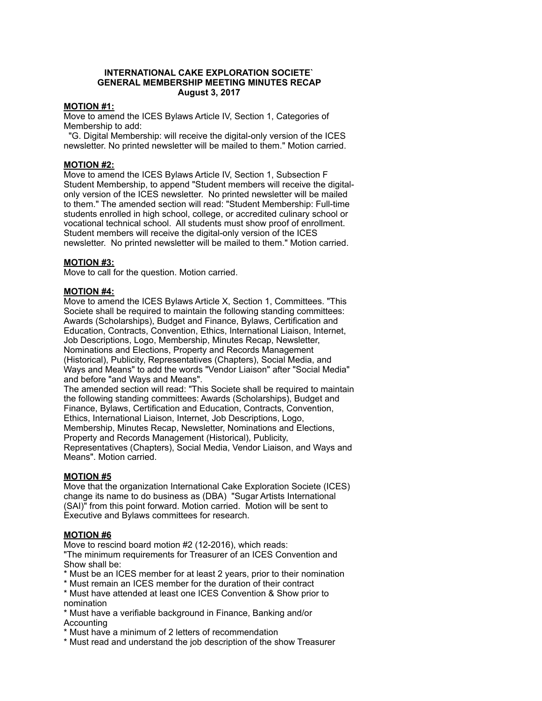#### **INTERNATIONAL CAKE EXPLORATION SOCIETE` GENERAL MEMBERSHIP MEETING MINUTES RECAP August 3, 2017**

## **MOTION #1:**

Move to amend the ICES Bylaws Article IV, Section 1, Categories of Membership to add:

 "G. Digital Membership: will receive the digital-only version of the ICES newsletter. No printed newsletter will be mailed to them." Motion carried.

## **MOTION #2:**

Move to amend the ICES Bylaws Article IV, Section 1, Subsection F Student Membership, to append "Student members will receive the digitalonly version of the ICES newsletter. No printed newsletter will be mailed to them." The amended section will read: "Student Membership: Full-time students enrolled in high school, college, or accredited culinary school or vocational technical school. All students must show proof of enrollment. Student members will receive the digital-only version of the ICES newsletter. No printed newsletter will be mailed to them." Motion carried.

## **MOTION #3:**

Move to call for the question. Motion carried.

## **MOTION #4:**

Move to amend the ICES Bylaws Article X, Section 1, Committees. "This Societe shall be required to maintain the following standing committees: Awards (Scholarships), Budget and Finance, Bylaws, Certification and Education, Contracts, Convention, Ethics, International Liaison, Internet, Job Descriptions, Logo, Membership, Minutes Recap, Newsletter, Nominations and Elections, Property and Records Management (Historical), Publicity, Representatives (Chapters), Social Media, and Ways and Means" to add the words "Vendor Liaison" after "Social Media" and before "and Ways and Means".

The amended section will read: "This Societe shall be required to maintain the following standing committees: Awards (Scholarships), Budget and Finance, Bylaws, Certification and Education, Contracts, Convention, Ethics, International Liaison, Internet, Job Descriptions, Logo, Membership, Minutes Recap, Newsletter, Nominations and Elections, Property and Records Management (Historical), Publicity, Representatives (Chapters), Social Media, Vendor Liaison, and Ways and Means". Motion carried.

#### **MOTION #5**

Move that the organization International Cake Exploration Societe (ICES) change its name to do business as (DBA) "Sugar Artists International (SAI)" from this point forward. Motion carried. Motion will be sent to Executive and Bylaws committees for research.

#### **MOTION #6**

Move to rescind board motion #2 (12-2016), which reads: "The minimum requirements for Treasurer of an ICES Convention and Show shall be:

- \* Must be an ICES member for at least 2 years, prior to their nomination
- \* Must remain an ICES member for the duration of their contract
- \* Must have attended at least one ICES Convention & Show prior to nomination
- \* Must have a verifiable background in Finance, Banking and/or Accounting
- \* Must have a minimum of 2 letters of recommendation
- \* Must read and understand the job description of the show Treasurer